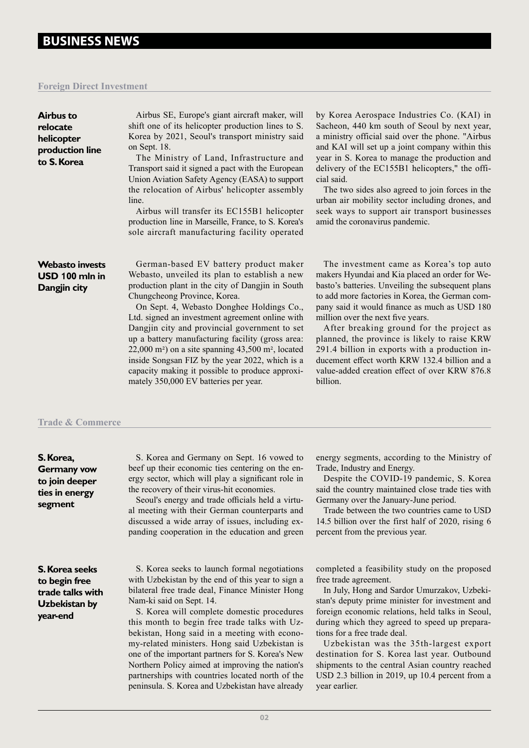### **Foreign Direct Investment**

**relocate** 

| Airbus to<br>relocate<br>helicopter<br>production line<br>to S. Korea | Airbus SE, Europe's giant aircraft maker, will<br>shift one of its helicopter production lines to S.<br>Korea by 2021, Seoul's transport ministry said<br>on Sept. 18.<br>The Ministry of Land, Infrastructure and                                                                                                                                                                                                                                                                                                                                                                                               | by Korea Aerosp<br>Sacheon, 440 km<br>a ministry official<br>and KAI will set<br>year in S. Korea                                                                                                                                             |
|-----------------------------------------------------------------------|------------------------------------------------------------------------------------------------------------------------------------------------------------------------------------------------------------------------------------------------------------------------------------------------------------------------------------------------------------------------------------------------------------------------------------------------------------------------------------------------------------------------------------------------------------------------------------------------------------------|-----------------------------------------------------------------------------------------------------------------------------------------------------------------------------------------------------------------------------------------------|
|                                                                       | Transport said it signed a pact with the European<br>Union Aviation Safety Agency (EASA) to support<br>the relocation of Airbus' helicopter assembly<br>line.<br>Airbus will transfer its EC155B1 helicopter<br>production line in Marseille, France, to S. Korea's<br>sole aircraft manufacturing facility operated                                                                                                                                                                                                                                                                                             | delivery of the E<br>cial said.<br>The two sides a<br>urban air mobility<br>seek ways to sup<br>amid the coronavi                                                                                                                             |
| <b>Webasto invests</b><br>USD 100 mln in<br>Dangjin city              | German-based EV battery product maker<br>Webasto, unveiled its plan to establish a new<br>production plant in the city of Dangjin in South<br>Chungcheong Province, Korea.<br>On Sept. 4, Webasto Donghee Holdings Co.,<br>Ltd. signed an investment agreement online with<br>Dangjin city and provincial government to set<br>up a battery manufacturing facility (gross area:<br>$22,000$ m <sup>2</sup> ) on a site spanning $43,500$ m <sup>2</sup> , located<br>inside Songsan FIZ by the year 2022, which is a<br>capacity making it possible to produce approxi-<br>mately 350,000 EV batteries per year. | The investmer<br>makers Hyundai a<br>basto's batteries. I<br>to add more factor<br>pany said it would<br>million over the no<br>After breaking<br>planned, the pro-<br>291.4 billion in<br>ducement effect w<br>value-added creat<br>billion. |

# bace Industries Co. (KAI) in south of Seoul by next year, said over the phone. "Airbus up a joint company within this to manage the production and  $C155B1$  helicopters," the offi-

Iso agreed to join forces in the y sector including drones, and pport air transport businesses rus pandemic.

it came as Korea's top auto nd Kia placed an order for We-Unveiling the subsequent plans ties in Korea, the German comd finance as much as USD 180 ext five years.

g ground for the project as vince is likely to raise KRW exports with a production invorth KRW 132.4 billion and a ion effect of over KRW 876.8 billion.

## **Trade & Commerce**

#### **S. Korea,**

**Germany vow to join deeper ties in energy segment**

**S. Korea seeks to begin free trade talks with Uzbekistan by year-end**

S. Korea and Germany on Sept. 16 vowed to beef up their economic ties centering on the energy sector, which will play a significant role in the recovery of their virus-hit economies.

Seoul's energy and trade officials held a virtual meeting with their German counterparts and discussed a wide array of issues, including expanding cooperation in the education and green energy segments, according to the Ministry of Trade, Industry and Energy.

Despite the COVID-19 pandemic, S. Korea said the country maintained close trade ties with Germany over the January-June period.

Trade between the two countries came to USD 14.5 billion over the first half of 2020, rising 6 percent from the previous year.

S. Korea seeks to launch formal negotiations with Uzbekistan by the end of this year to sign a bilateral free trade deal, Finance Minister Hong Nam-ki said on Sept. 14.

S. Korea will complete domestic procedures this month to begin free trade talks with Uzbekistan, Hong said in a meeting with economy-related ministers. Hong said Uzbekistan is one of the important partners for S. Korea's New Northern Policy aimed at improving the nation's partnerships with countries located north of the peninsula. S. Korea and Uzbekistan have already completed a feasibility study on the proposed free trade agreement.

In July, Hong and Sardor Umurzakov, Uzbekistan's deputy prime minister for investment and foreign economic relations, held talks in Seoul, during which they agreed to speed up preparations for a free trade deal.

Uzbekistan was the 35th-largest export destination for S. Korea last year. Outbound shipments to the central Asian country reached USD 2.3 billion in 2019, up 10.4 percent from a year earlier.